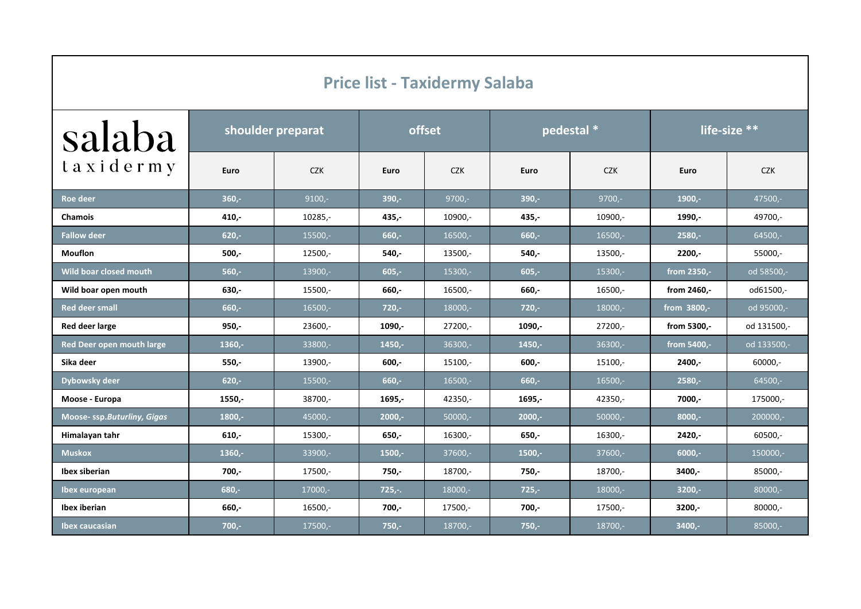| <b>Price list - Taxidermy Salaba</b> |                   |            |          |            |            |            |              |             |
|--------------------------------------|-------------------|------------|----------|------------|------------|------------|--------------|-------------|
| salaba                               | shoulder preparat |            | offset   |            | pedestal * |            | life-size ** |             |
| taxidermy                            | Euro              | <b>CZK</b> | Euro     | <b>CZK</b> | Euro       | <b>CZK</b> | Euro         | <b>CZK</b>  |
| Roe deer                             | $360 -$           | $9100,-$   | $390 -$  | $9700,-$   | $390 -$    | $9700,-$   | $1900 -$     | 47500,-     |
| <b>Chamois</b>                       | $410 -$           | $10285,-$  | $435 -$  | 10900,-    | $435,-$    | 10900,-    | 1990,-       | 49700,-     |
| <b>Fallow deer</b>                   | $620 -$           | 15500,-    | $660 -$  | $16500 -$  | $660 -$    | $16500 -$  | $2580 -$     | 64500,-     |
| <b>Mouflon</b>                       | $500 -$           | $12500 -$  | 540,-    | 13500,-    | 540,-      | 13500,-    | $2200 -$     | 55000,-     |
| Wild boar closed mouth               | $560,-$           | 13900,-    | $605,-$  | 15300,-    | $605 -$    | 15300,-    | from 2350,-  | od 58500,-  |
| Wild boar open mouth                 | $630 -$           | 15500,-    | 660,-    | 16500,-    | 660,-      | $16500 -$  | from 2460.-  | od61500,-   |
| <b>Red deer small</b>                | $660 -$           | $16500 -$  | $720 -$  | $18000,-$  | $720 -$    | 18000,-    | from 3800,-  | od 95000,-  |
| Red deer large                       | $950 -$           | $23600 -$  | 1090,-   | 27200,-    | 1090,-     | 27200,-    | from 5300,-  | od 131500,- |
| Red Deer open mouth large            | $1360,-$          | 33800,-    | $1450,-$ | $36300,-$  | $1450,-$   | $36300,-$  | from 5400,-  | od 133500,- |
| Sika deer                            | $550 -$           | 13900,-    | $600 -$  | 15100,-    | $600 -$    | 15100,-    | 2400,-       | $60000 -$   |
| Dybowsky deer                        | $620,-$           | 15500,-    | $660 -$  | $16500,-$  | $660,-$    | 16500,-    | $2580,-$     | 64500,-     |
| Moose - Europa                       | 1550,-            | 38700,-    | 1695,-   | 42350,-    | 1695,-     | 42350,-    | 7000,-       | 175000,-    |
| Moose- ssp.Buturliny, Gigas          | $1800,-$          | 45000,-    | $2000,-$ | $50000,-$  | $2000,-$   | $50000,-$  | $8000,-$     | 200000,-    |
| Himalayan tahr                       | $610 -$           | 15300,-    | $650 -$  | 16300,-    | 650,-      | 16300,-    | 2420,-       | 60500,-     |
| <b>Muskox</b>                        | $1360 -$          | 33900,-    | $1500 -$ | $37600 -$  | $1500 -$   | $37600 -$  | $6000 -$     | 150000,-    |
| Ibex siberian                        | $700,-$           | 17500,-    | $750,-$  | 18700,-    | 750,-      | 18700,-    | 3400,-       | $85000 -$   |
| Ibex european                        | $680 -$           | 17000,-    | $725,-.$ | 18000,-    | $725 -$    | 18000,-    | $3200 -$     | $80000,-$   |
| Ibex iberian                         | 660,-             | 16500,-    | 700,-    | 17500,-    | 700,-      | 17500,-    | 3200,-       | $80000,-$   |
| <b>Ibex caucasian</b>                | $700,-$           | 17500,-    | $750,-$  | 18700,-    | $750 -$    | 18700,-    | 3400,-       | 85000,-     |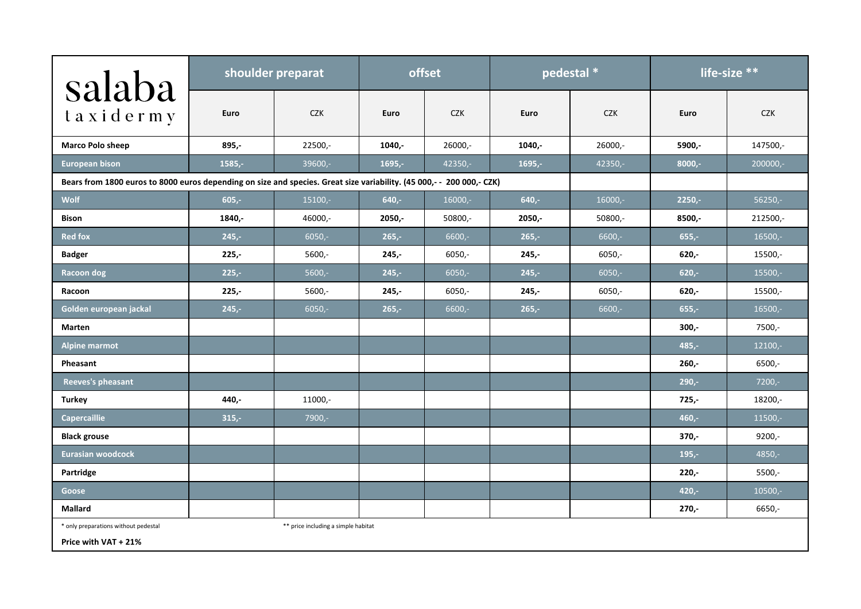| salaba                                                                                                                | shoulder preparat |                                     | offset    |            | pedestal * |            | life-size ** |            |
|-----------------------------------------------------------------------------------------------------------------------|-------------------|-------------------------------------|-----------|------------|------------|------------|--------------|------------|
| taxidermy                                                                                                             | Euro              | <b>CZK</b>                          | Euro      | <b>CZK</b> | Euro       | <b>CZK</b> | Euro         | <b>CZK</b> |
| <b>Marco Polo sheep</b>                                                                                               | $895 -$           | $22500 -$                           | $1040,-$  | $26000 -$  | 1040,-     | $26000 -$  | 5900,-       | 147500,-   |
| <b>European bison</b>                                                                                                 | $1585,-$          | 39600,-                             | $1695. -$ | 42350,-    | $1695,-$   | 42350,-    | $8000,-$     | 200000,-   |
| Bears from 1800 euros to 8000 euros depending on size and species. Great size variability. (45 000,- - 200 000,- CZK) |                   |                                     |           |            |            |            |              |            |
| Wolf                                                                                                                  | $605 -$           | $15100,-$                           | $640 -$   | $16000 -$  | $640 -$    | 16000,-    | $2250 -$     | $56250 -$  |
| <b>Bison</b>                                                                                                          | 1840,-            | 46000,-                             | $2050,-$  | 50800,-    | $2050,-$   | 50800,-    | 8500,-       | 212500,-   |
| <b>Red fox</b>                                                                                                        | $245,-$           | $6050,-$                            | $265,-$   | $6600,-$   | $265,-$    | $6600 -$   | $655,-$      | 16500,-    |
| <b>Badger</b>                                                                                                         | $225 -$           | $5600 -$                            | $245 -$   | $6050 -$   | 245,-      | $6050 -$   | $620 -$      | 15500,-    |
| <b>Racoon dog</b>                                                                                                     | $225 -$           | $5600 -$                            | $245 -$   | $6050 -$   | $245 -$    | $6050 -$   | $620 -$      | 15500,-    |
| Racoon                                                                                                                | $225 -$           | $5600,-$                            | $245,-$   | $6050 -$   | $245,-$    | $6050 -$   | $620 -$      | 15500,-    |
| Golden european jackal                                                                                                | $245,-$           | $6050,-$                            | $265,-$   | $6600,-$   | $265 -$    | $6600 -$   | $655 -$      | 16500,-    |
| <b>Marten</b>                                                                                                         |                   |                                     |           |            |            |            | $300 -$      | $7500 -$   |
| <b>Alpine marmot</b>                                                                                                  |                   |                                     |           |            |            |            | $485 -$      | 12100,-    |
| Pheasant                                                                                                              |                   |                                     |           |            |            |            | $260 -$      | $6500 -$   |
| Reeves's pheasant                                                                                                     |                   |                                     |           |            |            |            | $290 -$      | $7200 -$   |
| <b>Turkey</b>                                                                                                         | 440,-             | 11000,-                             |           |            |            |            | $725 -$      | 18200,-    |
| <b>Capercaillie</b>                                                                                                   | $315,-$           | 7900,-                              |           |            |            |            | $460 -$      | 11500,-    |
| <b>Black grouse</b>                                                                                                   |                   |                                     |           |            |            |            | $370 -$      | $9200 -$   |
| Eurasian woodcock                                                                                                     |                   |                                     |           |            |            |            | $195,-$      | 4850,-     |
| Partridge                                                                                                             |                   |                                     |           |            |            |            | $220 -$      | $5500 -$   |
| <b>Goose</b>                                                                                                          |                   |                                     |           |            |            |            | $420 -$      | 10500,-    |
| Mallard                                                                                                               |                   |                                     |           |            |            |            | $270,-$      | $6650,-$   |
| * only preparations without pedestal                                                                                  |                   | ** price including a simple habitat |           |            |            |            |              |            |
| Price with VAT + 21%                                                                                                  |                   |                                     |           |            |            |            |              |            |